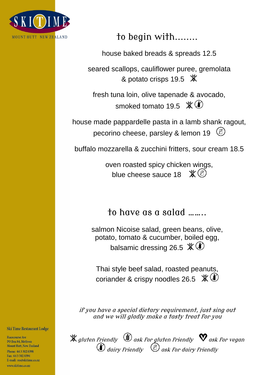

to begin with........

house baked breads & spreads 12.5

seared scallops, cauliflower puree, gremolata & potato crisps 19.5 **※** 

fresh tuna loin, olive tapenade & avocado, smoked tomato 19.5  $\mathscr{K}$   $\mathbb{O}$ 

house made pappardelle pasta in a lamb shank ragout, pecorino cheese, parsley & lemon 19  $(\mathbb{Z})$ 

buffalo mozzarella & zucchini fritters, sour cream 18.5

oven roasted spicy chicken wings, blue cheese sauce 18  $\mathcal{K}(\mathcal{B})$ 

to have as a salad ……..

salmon Nicoise salad, green beans, olive, potato, tomato & cucumber, boiled egg, balsamic dressing 26.5  $\%$   $\bullet$ 

Thai style beef salad, roasted peanuts, coriander & crispy noodles 26.5  $*(\bullet)$ 

if you have a special dietary requirement, just sing out and we will gladly make a tasty treat for you

gluten friendlyask for gluten friendlyask for vegan dairy friendly ask for dairy friendly

**Ski Time Restaurant Lodge** 

**Racecourse Ave** PO Box 84, Methven Mount Hutt, New Zealand Phone: 64 3 302 8398 Fav: 6433028394 E-mail: res@skitime.co.nz www skitime co.nz